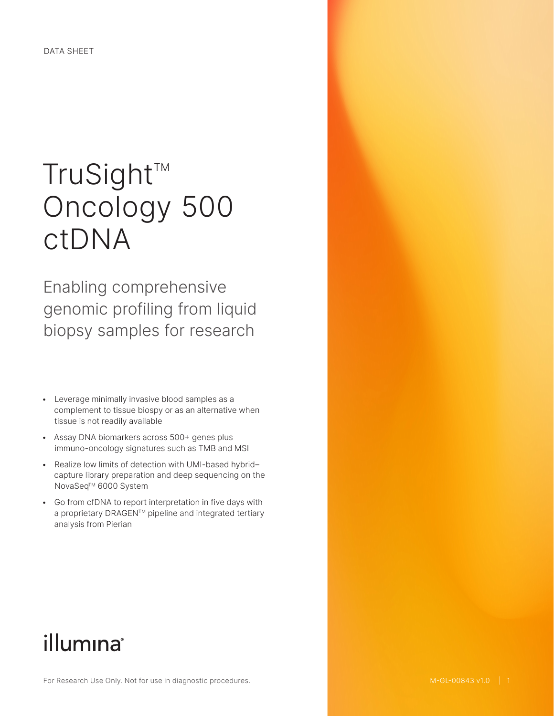# TruSight™ Oncology 500 ctDNA

Enabling comprehensive genomic profiling from liquid biopsy samples for research

- Leverage minimally invasive blood samples as a complement to tissue biospy or as an alternative when tissue is not readily available
- Assay DNA biomarkers across 500+ genes plus immuno-oncology signatures such as TMB and MSI
- Realize low limits of detection with UMI-based hybrid– capture library preparation and deep sequencing on the NovaSeq<sup>™</sup> 6000 System
- Go from cfDNA to report interpretation in five days with a proprietary DRAGEN™ pipeline and integrated tertiary analysis from Pierian

## illumina®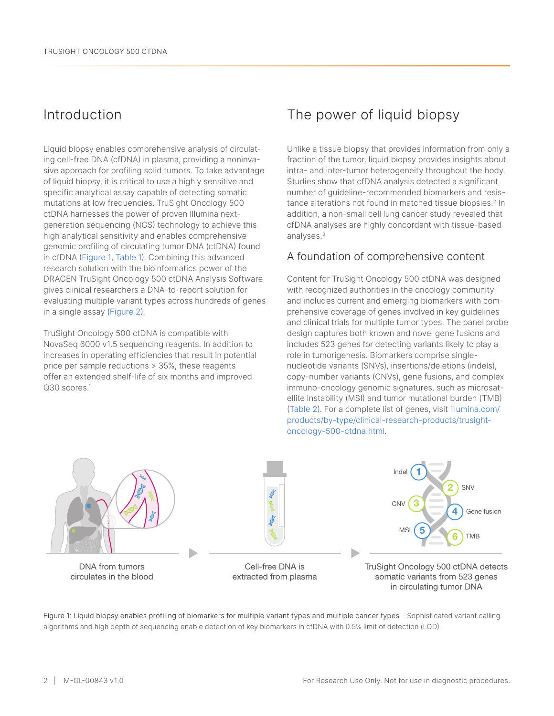## Introduction

Liquid biopsy enables comprehensive analysis of circulating cell-free DNA (cfDNA) in plasma, providing a noninvasive approach for profiling solid tumors. To take advantage of liquid biopsy, it is critical to use a highly sensitive and specific analytical assay capable of detecting somatic mutations at low frequencies. TruSight Oncology 500 ctDNA harnesses the power of proven Illumina nextgeneration sequencing (NGS) technology to achieve this high analytical sensitivity and enables comprehensive genomic profiling of circulating tumor DNA (ctDNA) found in cfDNA (Figure 1, [Table 1](#page-2-0)). Combining this advanced research solution with the bioinformatics power of the DRAGEN TruSight Oncology 500 ctDNA Analysis Software gives clinical researchers a DNA-to-report solution for evaluating multiple variant types across hundreds of genes in a single assay [\(Figure](#page-2-1) 2).

TruSight Oncology 500 ctDNA is compatible with NovaSeq 6000 v1.5 sequencing reagents. In addition to increases in operating efficiencies that result in potential price per sample reductions > 35%, these reagents offer an extended shelf-life of six months and improved Q30 scores.<sup>[1](#page-7-0)</sup>

## The power of liquid biopsy

Unlike a tissue biopsy that provides information from only a fraction of the tumor, liquid biopsy provides insights about intra- and inter-tumor heterogeneity throughout the body. Studies show that cfDNA analysis detected a significant number of guideline-recommended biomarkers and resis-tance alterations not found in matched tissue biopsies.<sup>[2](#page-7-1)</sup> In addition, a non-small cell lung cancer study revealed that cfDNA analyses are highly concordant with tissue-based analyses[.3](#page-7-2)

## A foundation of comprehensive content

Content for TruSight Oncology 500 ctDNA was designed with recognized authorities in the oncology community and includes current and emerging biomarkers with comprehensive coverage of genes involved in key guidelines and clinical trials for multiple tumor types. The panel probe design captures both known and novel gene fusions and includes 523 genes for detecting variants likely to play a role in tumorigenesis. Biomarkers comprise singlenucleotide variants (SNVs), insertions/deletions (indels), copy-number variants (CNVs), gene fusions, and complex immuno-oncology genomic signatures, such as microsatellite instability (MSI) and tumor mutational burden (TMB) ([Table 2](#page-2-2)). For a complete list of genes, visit [illumina.com/](https://www.illumina.com/products/by-type/clinical-research-products/trusight-oncology-500-ctdna.html) [products/by-type/clinical-research-products/trusight](https://www.illumina.com/products/by-type/clinical-research-products/trusight-oncology-500-ctdna.html)[oncology-500-ctdna.html](https://www.illumina.com/products/by-type/clinical-research-products/trusight-oncology-500-ctdna.html).



Figure 1: Liquid biopsy enables profiling of biomarkers for multiple variant types and multiple cancer types—Sophisticated variant calling algorithms and high depth of sequencing enable detection of key biomarkers in cfDNA with 0.5% limit of detection (LOD).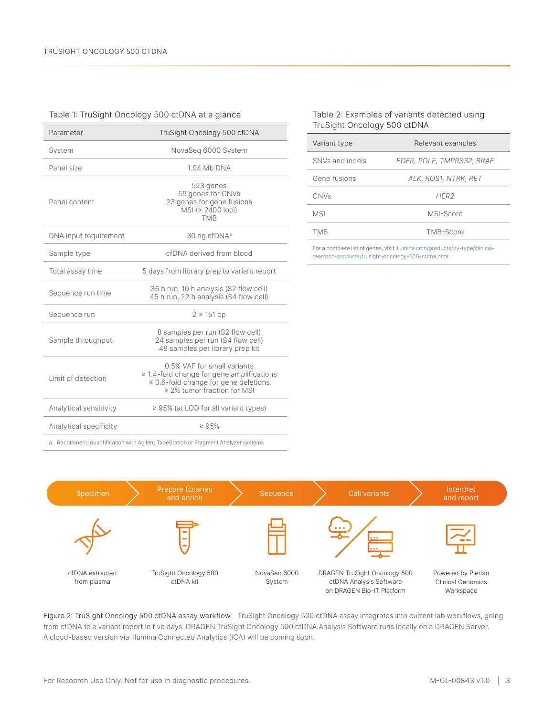#### <span id="page-2-1"></span><span id="page-2-0"></span>Table 1: TruSight Oncology 500 ctDNA at a glance

| Parameter                                                                         | TruSight Oncology 500 ctDNA                                                                                                                                    |  |
|-----------------------------------------------------------------------------------|----------------------------------------------------------------------------------------------------------------------------------------------------------------|--|
| System                                                                            | NovaSeq 6000 System                                                                                                                                            |  |
| Panel size                                                                        | 1.94 Mb DNA                                                                                                                                                    |  |
| Panel content                                                                     | 523 genes<br>59 genes for CNVs<br>23 genes for gene fusions<br>MSI (> 2400 loci)<br><b>TMB</b>                                                                 |  |
| DNA input requirement                                                             | 30 ng cfDNA <sup>a</sup>                                                                                                                                       |  |
| Sample type                                                                       | cfDNA derived from blood                                                                                                                                       |  |
| Total assay time                                                                  | 5 days from library prep to variant report                                                                                                                     |  |
| Sequence run time                                                                 | 36 h run, 10 h analysis (S2 flow cell)<br>45 h run, 22 h analysis (S4 flow cell)                                                                               |  |
| Sequence run                                                                      | $2 \times 151$ bp                                                                                                                                              |  |
| Sample throughput                                                                 | 8 samples per run (S2 flow cell)<br>24 samples per run (S4 flow cell)<br>48 samples per library prep kit                                                       |  |
| I imit of detection                                                               | 0.5% VAF for small variants<br>$\geq$ 1.4-fold change for gene amplifications<br>$\leq$ 0.6-fold change for gene deletions<br>$\geq$ 2% tumor fraction for MSI |  |
| Analytical sensitivity                                                            | $\geq$ 95% (at LOD for all variant types)                                                                                                                      |  |
| Analytical specificity                                                            | $\geq 95%$                                                                                                                                                     |  |
| a. Recommend quantification with Agilent TapeStation or Fragment Analyzer systems |                                                                                                                                                                |  |

#### <span id="page-2-2"></span>Table 2: Examples of variants detected using TruSight Oncology 500 ctDNA

| Variant type    | Relevant examples         |
|-----------------|---------------------------|
| SNVs and indels | EGFR, POLE, TMPRSS2, BRAF |
| Gene fusions    | ALK, ROS1, NTRK, RET      |
| CNVs            | HFR <sub>2</sub>          |
| <b>MSI</b>      | MSI-Score                 |
| TMR             | TMB-Score                 |
|                 |                           |

For a complete list of genes, visit [illumina.com/products/by-type/clinical](https://www.illumina.com/products/by-type/clinical-research-products/trusight-oncology-500-ctdna.html)[research-products/trusight-oncology-500-ctdna.html](https://www.illumina.com/products/by-type/clinical-research-products/trusight-oncology-500-ctdna.html)



Figure 2: TruSight Oncology 500 ctDNA assay workflow—TruSight Oncology 500 ctDNA assay integrates into current lab workflows, going from cfDNA to a variant report in five days. DRAGEN TruSight Oncology 500 ctDNA Analysis Software runs locally on a DRAGEN Server. A cloud-based version via Illumina Connected Analytics (ICA) will be coming soon.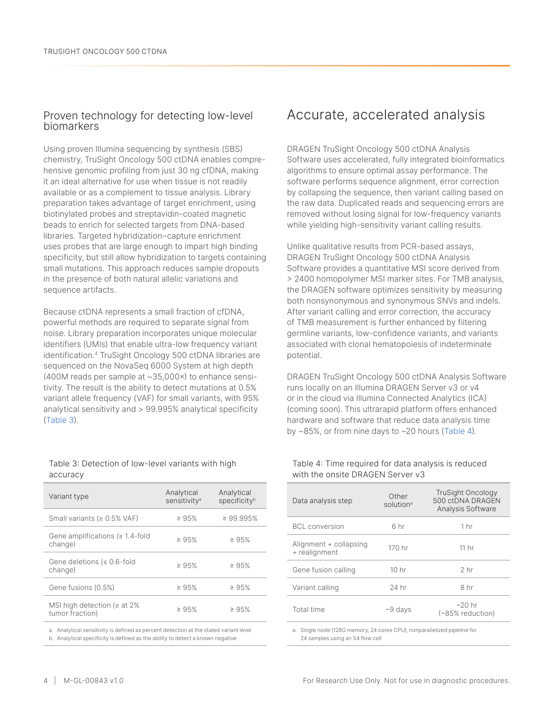### Proven technology for detecting low-level biomarkers

Using proven Illumina sequencing by synthesis (SBS) chemistry, TruSight Oncology 500 ctDNA enables comprehensive genomic profiling from just 30 ng cfDNA, making it an ideal alternative for use when tissue is not readily available or as a complement to tissue analysis. Library preparation takes advantage of target enrichment, using biotinylated probes and streptavidin-coated magnetic beads to enrich for selected targets from DNA-based libraries. Targeted hybridization–capture enrichment uses probes that are large enough to impart high binding specificity, but still allow hybridization to targets containing small mutations. This approach reduces sample dropouts in the presence of both natural allelic variations and sequence artifacts.

Because ctDNA represents a small fraction of cfDNA, powerful methods are required to separate signal from noise. Library preparation incorporates unique molecular identifiers (UMIs) that enable ultra-low frequency variant identification.[4](#page-7-3) TruSight Oncology 500 ctDNA libraries are sequenced on the NovaSeq 6000 System at high depth (400M reads per sample at ~35,000×) to enhance sensitivity. The result is the ability to detect mutations at 0.5% variant allele frequency (VAF) for small variants, with 95% analytical sensitivity and > 99.995% analytical specificity ([Table](#page-3-0) 3).

#### <span id="page-3-0"></span>Table 3: Detection of low-level variants with high accuracy

| Variant type                                        | Analytical<br>sensitivity <sup>a</sup> | Analytical<br>specificity <sup>b</sup> |
|-----------------------------------------------------|----------------------------------------|----------------------------------------|
| Small variants ( $\geq 0.5\%$ VAF)                  | $\geq 95\%$                            | $\geq 99.995%$                         |
| Gene amplifications ( $\geq 1.4$ -fold<br>change)   | $\geq 95\%$                            | $\geq 95\%$                            |
| Gene deletions ( $\leq 0.6$ -fold<br>change)        | $\geq 95%$                             | $\geq 95\%$                            |
| Gene fusions (0.5%)                                 | $\geq 95\%$                            | $\geq 95\%$                            |
| MSI high detection ( $\ge$ at 2%<br>tumor fraction) | $\geq 95\%$                            | $\geq 95\%$                            |
|                                                     |                                        |                                        |

a. Analytical sensitivity is defined as percent detection at the stated variant level b. Analytical specificity is defined as the ability to detect a known negative

## Accurate, accelerated analysis

DRAGEN TruSight Oncology 500 ctDNA Analysis Software uses accelerated, fully integrated bioinformatics algorithms to ensure optimal assay performance. The software performs sequence alignment, error correction by collapsing the sequence, then variant calling based on the raw data. Duplicated reads and sequencing errors are removed without losing signal for low-frequency variants while yielding high-sensitivity variant calling results.

Unlike qualitative results from PCR-based assays, DRAGEN TruSight Oncology 500 ctDNA Analysis Software provides a quantitative MSI score derived from > 2400 homopolymer MSI marker sites. For TMB analysis, the DRAGEN software optimizes sensitivity by measuring both nonsynonymous and synonymous SNVs and indels. After variant calling and error correction, the accuracy of TMB measurement is further enhanced by filtering germline variants, low-confidence variants, and variants associated with clonal hematopoiesis of indeterminate potential.

DRAGEN TruSight Oncology 500 ctDNA Analysis Software runs locally on an Illumina DRAGEN Server v3 or v4 or in the cloud via Illumina Connected Analytics (ICA) (coming soon). This ultrarapid platform offers enhanced hardware and software that reduce data analysis time by ~85%, or from nine days to ~20 hours [\(Table 4\)](#page-3-1).

#### <span id="page-3-1"></span>Table 4: Time required for data analysis is reduced with the onsite DRAGEN Server v3

| Data analysis step                      | Other<br>solution <sup>a</sup> | TruSight Oncology<br>500 ctDNA DRAGEN<br>Analysis Software |
|-----------------------------------------|--------------------------------|------------------------------------------------------------|
| <b>BCL</b> conversion                   | 6 hr                           | 1 hr                                                       |
| Alignment + collapsing<br>+ realignment | 170 hr                         | 11 hr                                                      |
| Gene fusion calling                     | 10 <sub>hr</sub>               | 2 <sub>hr</sub>                                            |
| Variant calling                         | 24 hr                          | 8 hr                                                       |
| Total time                              | $~9$ days                      | $\sim$ 20 hr<br>$(\sim 85\%$ reduction)                    |

a. Single node (128G memory, 24 cores CPU), nonparallelized pipeline for 24 samples using an S4 flow cell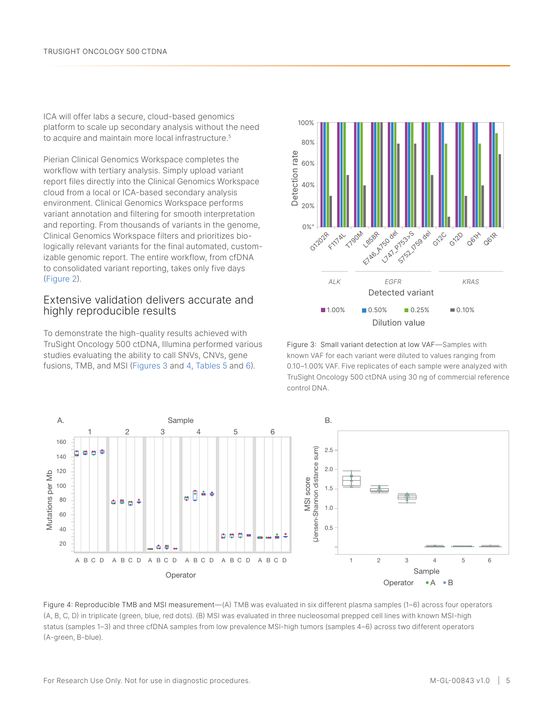ICA will offer labs a secure, cloud-based genomics platform to scale up secondary analysis without the need to acquire and maintain more local infrastructure.<sup>[5](#page-7-4)</sup>

Pierian Clinical Genomics Workspace completes the workflow with tertiary analysis. Simply upload variant report files directly into the Clinical Genomics Workspace cloud from a local or ICA-based secondary analysis environment. Clinical Genomics Workspace performs variant annotation and filtering for smooth interpretation and reporting. From thousands of variants in the genome, Clinical Genomics Workspace filters and prioritizes biologically relevant variants for the final automated, customizable genomic report. The entire workflow, from cfDNA to consolidated variant reporting, takes only five days ([Figure](#page-2-1) 2).

### Extensive validation delivers accurate and highly reproducible results

To demonstrate the high-quality results achieved with TruSight Oncology 500 ctDNA, Illumina performed various studies evaluating the ability to call SNVs, CNVs, gene fusions, TMB, and MSI (Figures 3 and 4, [Tables 5](#page-5-0) and [6](#page-5-1)).



Figure 3: Small variant detection at low VAF—Samples with known VAF for each variant were diluted to values ranging from 0.10–1.00% VAF. Five replicates of each sample were analyzed with TruSight Oncology 500 ctDNA using 30 ng of commercial reference control DNA.



Figure 4: Reproducible TMB and MSI measurement—(A) TMB was evaluated in six different plasma samples (1–6) across four operators (A, B, C, D) in triplicate (green, blue, red dots). (B) MSI was evaluated in three nucleosomal prepped cell lines with known MSI-high status (samples 1–3) and three cfDNA samples from low prevalence MSI-high tumors (samples 4–6) across two different operators (A-green, B-blue).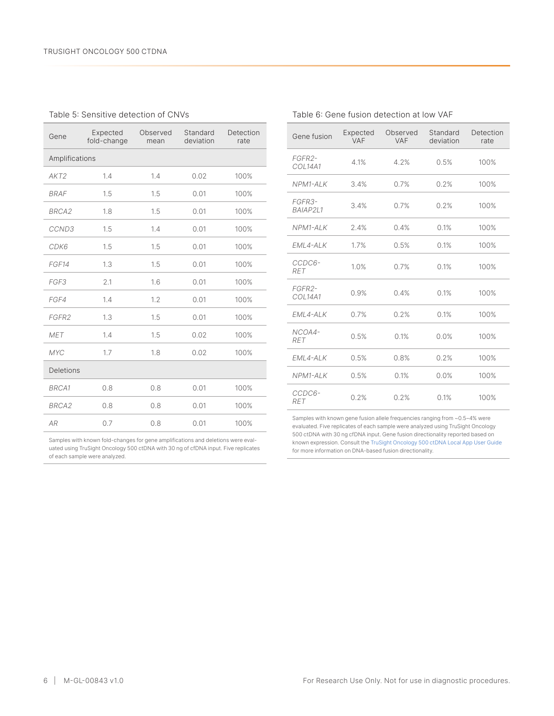#### <span id="page-5-0"></span>Table 5: Sensitive detection of CNVs

| Gene              | Expected<br>fold-change | Observed<br>mean | Standard<br>deviation | Detection<br>rate |
|-------------------|-------------------------|------------------|-----------------------|-------------------|
| Amplifications    |                         |                  |                       |                   |
| AKT2              | 1.4                     | 1.4              | 0.02                  | 100%              |
| <b>BRAF</b>       | 1.5                     | 1.5              | 0.01                  | 100%              |
| BRCA <sub>2</sub> | 1.8                     | 1.5              | 0.01                  | 100%              |
| CCND3             | 1.5                     | 1.4              | 0.01                  | 100%              |
| CDK6              | 1.5                     | 1.5              | 0.01                  | 100%              |
| FGF14             | 1.3                     | 1.5              | 0.01                  | 100%              |
| FGF3              | 2.1                     | 1.6              | 0.01                  | 100%              |
| FGF4              | 1.4                     | 1.2              | 0.01                  | 100%              |
| FGFR2             | 1.3                     | 1.5              | 0.01                  | 100%              |
| <b>MET</b>        | 1.4                     | 1.5              | 0.02                  | 100%              |
| <b>MYC</b>        | 1.7                     | 1.8              | 0.02                  | 100%              |
| <b>Deletions</b>  |                         |                  |                       |                   |
| <b>BRCA1</b>      | 0.8                     | 0.8              | 0.01                  | 100%              |
| BRCA <sub>2</sub> | 0.8                     | 0.8              | 0.01                  | 100%              |
| <b>AR</b>         | 0.7                     | 0.8              | 0.01                  | 100%              |

Samples with known fold-changes for gene amplifications and deletions were evaluated using TruSight Oncology 500 ctDNA with 30 ng of cfDNA input. Five replicates of each sample were analyzed.

| Gene fusion          | Expected<br>VAF | Observed<br>VAF | Standard<br>deviation | Detection<br>rate |
|----------------------|-----------------|-----------------|-----------------------|-------------------|
| FGFR2-<br>COL14A1    | 4.1%            | 4.2%            | 0.5%                  | 100%              |
| NPM1-ALK             | 3.4%            | 0.7%            | 0.2%                  | 100%              |
| FGFR3-<br>BAIAP2L1   | 3.4%            | 0.7%            | 0.2%                  | 100%              |
| NPM1-ALK             | 2.4%            | 0.4%            | 0.1%                  | 100%              |
| EML4-ALK             | 1.7%            | 0.5%            | 0.1%                  | 100%              |
| CCDC6-<br><b>RET</b> | 1.0%            | 0.7%            | 0.1%                  | 100%              |
| FGFR2-<br>COL14A1    | 0.9%            | 0.4%            | 0.1%                  | 100%              |
| EML4-ALK             | 0.7%            | 0.2%            | 0.1%                  | 100%              |
| NCOA4-<br><b>RET</b> | 0.5%            | 0.1%            | 0.0%                  | 100%              |
| EML4-ALK             | 0.5%            | 0.8%            | 0.2%                  | 100%              |
| NPM1-ALK             | 0.5%            | 0.1%            | 0.0%                  | 100%              |
| CCDC6-<br><b>RET</b> | 0.2%            | 0.2%            | 0.1%                  | 100%              |

Samples with known gene fusion allele frequencies ranging from ~0.5–4% were evaluated. Five replicates of each sample were analyzed using TruSight Oncology 500 ctDNA with 30 ng cfDNA input. Gene fusion directionality reported based on known expression. Consult the [TruSight Oncology 500 ctDNA Local App User Guide](https://support.illumina.com/downloads/trusight-oncology-500-local-app-user-guide-1000000067616.html) for more information on DNA-based fusion directionality.

<span id="page-5-1"></span>

| Table 6: Gene fusion detection at low VAF |
|-------------------------------------------|
|-------------------------------------------|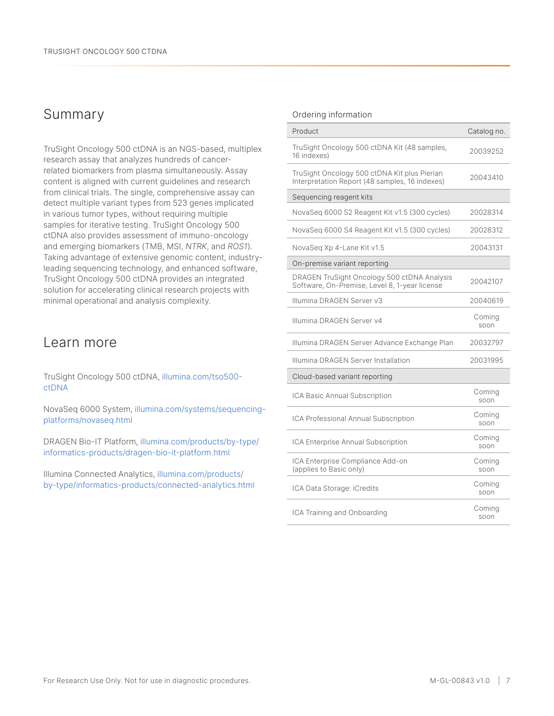## Summary

TruSight Oncology 500 ctDNA is an NGS-based, multiplex research assay that analyzes hundreds of cancerrelated biomarkers from plasma simultaneously. Assay content is aligned with current guidelines and research from clinical trials. The single, comprehensive assay can detect multiple variant types from 523 genes implicated in various tumor types, without requiring multiple samples for iterative testing. TruSight Oncology 500 ctDNA also provides assessment of immuno-oncology and emerging biomarkers (TMB, MSI, *NTRK*, and *ROS1*). Taking advantage of extensive genomic content, industryleading sequencing technology, and enhanced software, TruSight Oncology 500 ctDNA provides an integrated solution for accelerating clinical research projects with minimal operational and analysis complexity.

## Learn more

TruSight Oncology 500 ctDNA, [illumina.com/tso500](https://www.illumina.com/products/by-type/clinical-research-products/trusight-oncology-500-ctdna.html) [ctDNA](https://www.illumina.com/products/by-type/clinical-research-products/trusight-oncology-500-ctdna.html)

NovaSeq 6000 System, [illumina.com/systems/sequencing](https://www.illumina.com/systems/sequencing-platforms/novaseq.html)[platforms/novaseq.html](https://www.illumina.com/systems/sequencing-platforms/novaseq.html)

DRAGEN Bio-IT Platform, [illumina.com/products/by-type/](https://www.illumina.com/products/by-type/informatics-products/dragen-bio-it-platform.html) [informatics-products/dragen-bio-it-platform.html](https://www.illumina.com/products/by-type/informatics-products/dragen-bio-it-platform.html)

Illumina Connected Analytics, [illumina.com/products/](https://www.illumina.com/products/by-type/informatics-products/connected-analytics.html) [by-type/informatics-products/connected-analytics.html](https://www.illumina.com/products/by-type/informatics-products/connected-analytics.html)

#### Ordering information

| Product                                                                                        | Catalog no.    |
|------------------------------------------------------------------------------------------------|----------------|
| TruSight Oncology 500 ctDNA Kit (48 samples,<br>16 indexes)                                    | 20039252       |
| TruSight Oncology 500 ctDNA Kit plus Pierian<br>Interpretation Report (48 samples, 16 indexes) | 20043410       |
| Sequencing reagent kits                                                                        |                |
| NovaSeg 6000 S2 Reagent Kit v1.5 (300 cycles)                                                  | 20028314       |
| NovaSeq 6000 S4 Reagent Kit v1.5 (300 cycles)                                                  | 20028312       |
| NovaSeg Xp 4-Lane Kit v1.5                                                                     | 20043131       |
| On-premise variant reporting                                                                   |                |
| DRAGEN TruSight Oncology 500 ctDNA Analysis<br>Software, On-Premise, Level 8, 1-year license   | 20042107       |
| Illumina DRAGEN Server v3                                                                      | 20040619       |
| Illumina DRAGEN Server v4                                                                      | Coming<br>soon |
| Illumina DRAGEN Server Advance Exchange Plan                                                   | 20032797       |
| Illumina DRAGEN Server Installation                                                            | 20031995       |
| Cloud-based variant reporting                                                                  |                |
| ICA Basic Annual Subscription                                                                  | Coming<br>soon |
| ICA Professional Annual Subscription                                                           | Coming<br>soon |
| ICA Enterprise Annual Subscription                                                             | Coming<br>soon |
| ICA Enterprise Compliance Add-on<br>(applies to Basic only)                                    | Coming<br>soon |
| ICA Data Storage: iCredits                                                                     | Coming<br>soon |
| ICA Training and Onboarding                                                                    | Coming<br>soon |